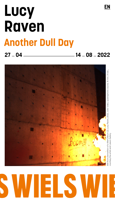# **Lucy Raven Another Dull Day**



**27 04 14 08 2022**



## E  $\overline{\phantom{a}}$

courtesy the artist and Lisson Gallery

ourtesy the artist and Lisson Gall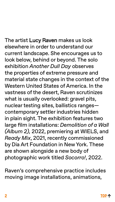<span id="page-1-0"></span>The artist Lucy Raven makes us look elsewhere in order to understand our current landscape. She encourages us to look below, behind or beyond. The solo exhibition *Another Dull Day* observes the properties of extreme pressure and material state changes in the context of the Western United States of America. In the vastness of the desert, Raven scrutinizes what is usually overlooked: gravel pits, nuclear testing sites, ballistics ranges contemporary settler industries hidden in plain sight. The exhibition features two large film installations: *Demolition of a Wall (Album 2),* 2022, premiering at WIELS, and *Ready Mix*, 2021, recently commissioned by Dia Art Foundation in New York. These are shown alongside a new body of photographic work titled *Socorro!*, 2022.

Raven's comprehensive practice includes moving image installations, animations,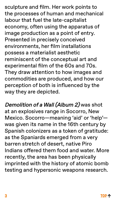sculpture and film. Her work points to the processes of human and mechanical labour that fuel the late-capitalist economy, often using the apparatus of image production as a point of entry. Presented in precisely conceived environments, her film installations possess a materialist aesthetic reminiscent of the conceptual art and experimental film of the 60s and 70s. They draw attention to how images and commodities are produced, and how our perception of both is influenced by the way they are depicted.

Demolition of a Wall (Album 2) was shot at an explosives range in Socorro, New Mexico. Socorro—meaning 'aid' or 'help' was given its name in the 16th century by Spanish colonizers as a token of gratitude: as the Spaniards emerged from a very barren stretch of desert, native Piro Indians offered them food and water. More recently, the area has been physically imprinted with the history of atomic bomb testing and hypersonic weapons research.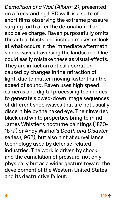*Demolition of a Wall (Album 2)*, presented on a freestanding LED wall, is a suite of short films observing the extreme pressure surging forth after the detonation of an explosive charge. Raven purposefully omits the actual blasts and instead makes us look at what occurs in the immediate aftermath: shock waves traversing the landscape. One could easily mistake these as visual effects. They are in fact an optical aberration caused by changes in the refraction of light, due to matter moving faster than the speed of sound. Raven uses high speed cameras and digital processing techniques to generate slowed-down image sequences of different shockwaves that are not usually discernible by the naked eye. Their inverted black and white properties bring to mind James Whistler's nocturne paintings (1870- 1877) or Andy Warhol's *Death and Disaster* series (1962), but also hint at surveillance technology used by defense-related industries. The work is driven by shock and the cumulation of pressure, not only physically but as a wider gesture toward the development of the Western United States and its destructive fallout.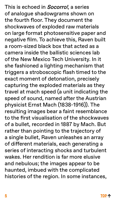This is echoed in **Socorro!**, a series of analogue shadowgrams shown on the fourth floor. They document the shockwaves of exploded raw materials on large format photosensitive paper and negative film. To achieve this, Raven built a room-sized black box that acted as a camera inside the ballistic sciences lab of the New Mexico Tech University. In it she fashioned a lighting mechanism that triggers a stroboscopic flash timed to the exact moment of detonation, precisely capturing the exploded materials as they travel at mach speed (a unit indicating the speed of sound, named after the Austrian physicist Ernst Mach (1838-1916)). The resulting images bear a faint resemblance to the first visualisation of the shockwaves of a bullet, recorded in 1887 by Mach. But rather than pointing to the trajectory of a single bullet, Raven unleashes an array of different materials, each generating a series of interacting shocks and turbulent wakes. Her rendition is far more elusive and nebulous; the images appear to be haunted, imbued with the complicated histories of the region. In some instances,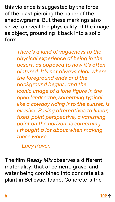this violence is suggested by the force of the blast piercing the paper of the shadowgrams. But these markings also serve to reveal the physicality of the image as object, grounding it back into a solid form.

> *There's a kind of vagueness to the physical experience of being in the desert, as opposed to how it's often pictured. It's not always clear where the foreground ends and the background begins, and the iconic image of a lone figure in the open landscape, something typical like a cowboy riding into the sunset, is evasive. Posing alternatives to linear, fixed-point perspective, a vanishing point on the horizon, is something I thought a lot about when making these works.*

*—Lucy Raven*

The film Ready Mix observes a different materiality: that of cement, gravel and water being combined into concrete at a plant in Bellevue, Idaho. Concrete is the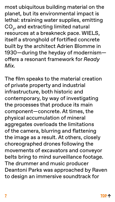most ubiquitous building material on the planet, but its environmental impact is lethal: straining water supplies, emitting  $CO<sub>2</sub>$ , and extracting limited natural resources at a breakneck pace. WIELS, itself a stronghold of fortified concrete built by the architect Adrien Blomme in 1930—during the heyday of modernism offers a resonant framework for *Ready Mix.*

The film speaks to the material creation of private property and industrial infrastructure, both historic and contemporary, by way of investigating the processes that produce its main component—concrete. At times, the physical accumulation of mineral aggregates overloads the limitations of the camera, blurring and flattening the image as a result. At others, closely choreographed drones following the movements of excavators and conveyor belts bring to mind surveillance footage. The drummer and music producer Deantoni Parks was approached by Raven to design an immersive soundtrack for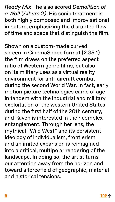*Ready Mix*—he also scored *Demolition of a Wall (Album 2)*. His sonic treatment is both highly composed and improvisational in nature, emphasizing the disrupted flow of time and space that distinguish the film.

Shown on a custom-made curved screen in CinemaScope format (2.35:1) the film draws on the preferred aspect ratio of Western genre films, but also on its military uses as a virtual reality environment for anti-aircraft combat during the second World War. In fact, early motion picture technologies came of age in tandem with the industrial and military exploitation of the western United States during the first half of the 20th century, and Raven is interested in their complex entanglement. Through her lens, the mythical "Wild West" and its persistent ideology of individualism, frontierism and unlimited expansion is reimagined into a critical, multipolar rendering of the landscape. In doing so, the artist turns our attention away from the horizon and toward a forcefield of geographic, material and historical tensions.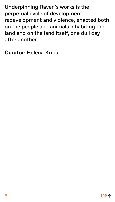Underpinning Raven's works is the perpetual cycle of development, redevelopment and violence, enacted both on the people and animals inhabiting the land and on the land itself, one dull day after another.

**Curator:** Helena Kritis